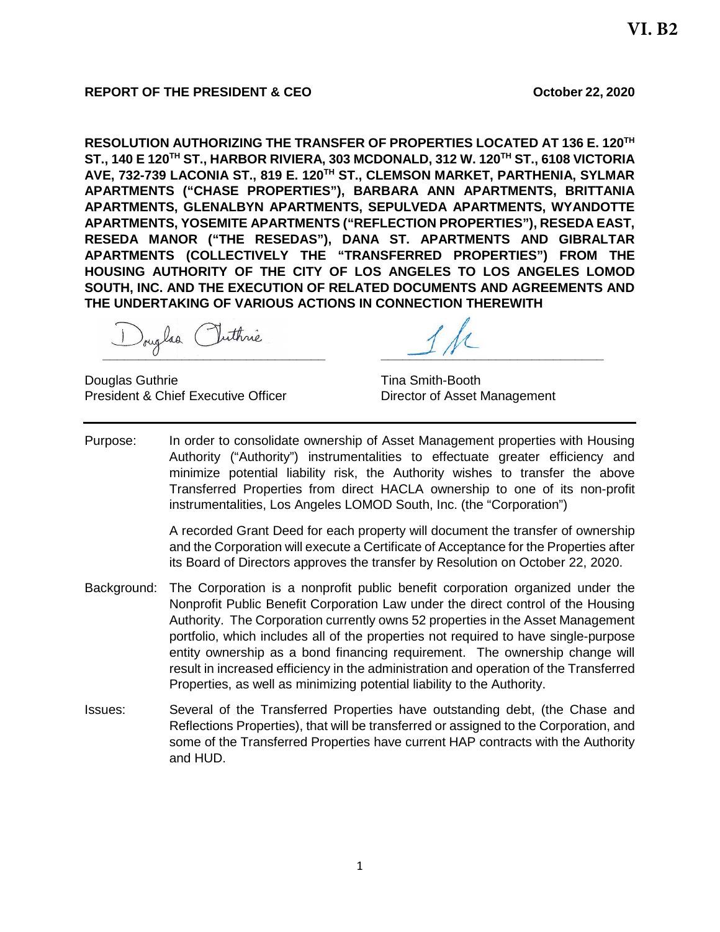## **REPORT OF THE PRESIDENT & CEO CEO October 22, 2020**

**RESOLUTION AUTHORIZING THE TRANSFER OF PROPERTIES LOCATED AT 136 E. 120TH ST., 140 E 120TH ST., HARBOR RIVIERA, 303 MCDONALD, 312 W. 120TH ST., 6108 VICTORIA AVE, 732-739 LACONIA ST., 819 E. 120TH ST., CLEMSON MARKET, PARTHENIA, SYLMAR APARTMENTS ("CHASE PROPERTIES"), BARBARA ANN APARTMENTS, BRITTANIA APARTMENTS, GLENALBYN APARTMENTS, SEPULVEDA APARTMENTS, WYANDOTTE APARTMENTS, YOSEMITE APARTMENTS ("REFLECTION PROPERTIES"), RESEDA EAST, RESEDA MANOR ("THE RESEDAS"), DANA ST. APARTMENTS AND GIBRALTAR APARTMENTS (COLLECTIVELY THE "TRANSFERRED PROPERTIES") FROM THE HOUSING AUTHORITY OF THE CITY OF LOS ANGELES TO LOS ANGELES LOMOD SOUTH, INC. AND THE EXECUTION OF RELATED DOCUMENTS AND AGREEMENTS AND THE UNDERTAKING OF VARIOUS ACTIONS IN CONNECTION THEREWITH**

**1** 

Douglas Guthrie Tina Smith-Booth President & Chief Executive Officer Director of Asset Management

Purpose: In order to consolidate ownership of Asset Management properties with Housing Authority ("Authority") instrumentalities to effectuate greater efficiency and minimize potential liability risk, the Authority wishes to transfer the above Transferred Properties from direct HACLA ownership to one of its non-profit instrumentalities, Los Angeles LOMOD South, Inc. (the "Corporation")

> A recorded Grant Deed for each property will document the transfer of ownership and the Corporation will execute a Certificate of Acceptance for the Properties after its Board of Directors approves the transfer by Resolution on October 22, 2020.

- Background: The Corporation is a nonprofit public benefit corporation organized under the Nonprofit Public Benefit Corporation Law under the direct control of the Housing Authority. The Corporation currently owns 52 properties in the Asset Management portfolio, which includes all of the properties not required to have single-purpose entity ownership as a bond financing requirement. The ownership change will result in increased efficiency in the administration and operation of the Transferred Properties, as well as minimizing potential liability to the Authority.
- Issues: Several of the Transferred Properties have outstanding debt, (the Chase and Reflections Properties), that will be transferred or assigned to the Corporation, and some of the Transferred Properties have current HAP contracts with the Authority and HUD.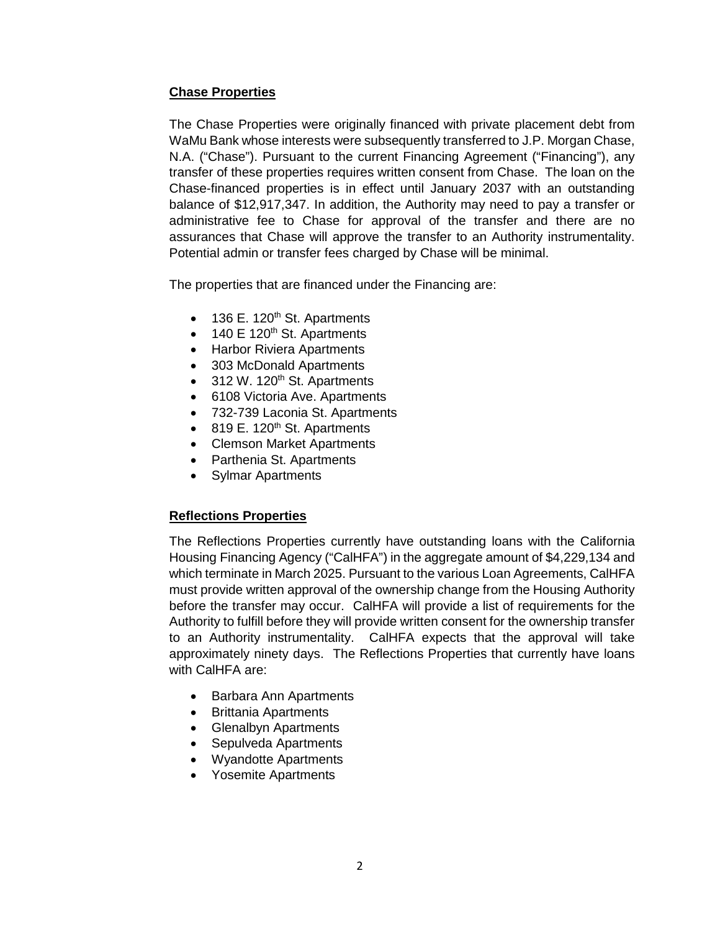# **Chase Properties**

The Chase Properties were originally financed with private placement debt from WaMu Bank whose interests were subsequently transferred to J.P. Morgan Chase, N.A. ("Chase"). Pursuant to the current Financing Agreement ("Financing"), any transfer of these properties requires written consent from Chase. The loan on the Chase-financed properties is in effect until January 2037 with an outstanding balance of \$12,917,347. In addition, the Authority may need to pay a transfer or administrative fee to Chase for approval of the transfer and there are no assurances that Chase will approve the transfer to an Authority instrumentality. Potential admin or transfer fees charged by Chase will be minimal.

The properties that are financed under the Financing are:

- $\bullet$  136 E. 120<sup>th</sup> St. Apartments
- $\bullet$  140 E 120<sup>th</sup> St. Apartments
- Harbor Riviera Apartments
- 303 McDonald Apartments
- $\bullet$  312 W. 120<sup>th</sup> St. Apartments
- 6108 Victoria Ave. Apartments
- 732-739 Laconia St. Apartments
- $\bullet$  819 E. 120<sup>th</sup> St. Apartments
- Clemson Market Apartments
- Parthenia St. Apartments
- Sylmar Apartments

#### **Reflections Properties**

The Reflections Properties currently have outstanding loans with the California Housing Financing Agency ("CalHFA") in the aggregate amount of \$4,229,134 and which terminate in March 2025. Pursuant to the various Loan Agreements, CalHFA must provide written approval of the ownership change from the Housing Authority before the transfer may occur. CalHFA will provide a list of requirements for the Authority to fulfill before they will provide written consent for the ownership transfer to an Authority instrumentality. CalHFA expects that the approval will take approximately ninety days. The Reflections Properties that currently have loans with CalHFA are:

- Barbara Ann Apartments
- Brittania Apartments
- Glenalbyn Apartments
- Sepulveda Apartments
- Wyandotte Apartments
- Yosemite Apartments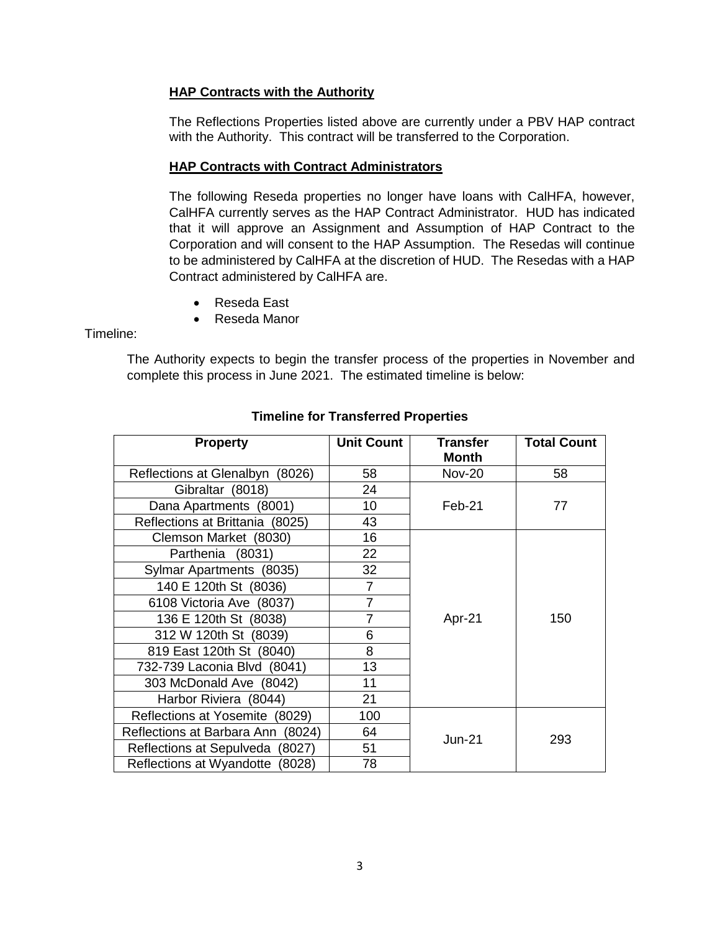## **HAP Contracts with the Authority**

The Reflections Properties listed above are currently under a PBV HAP contract with the Authority. This contract will be transferred to the Corporation.

### **HAP Contracts with Contract Administrators**

The following Reseda properties no longer have loans with CalHFA, however, CalHFA currently serves as the HAP Contract Administrator. HUD has indicated that it will approve an Assignment and Assumption of HAP Contract to the Corporation and will consent to the HAP Assumption. The Resedas will continue to be administered by CalHFA at the discretion of HUD. The Resedas with a HAP Contract administered by CalHFA are.

- Reseda East
- Reseda Manor

Timeline:

The Authority expects to begin the transfer process of the properties in November and complete this process in June 2021. The estimated timeline is below:

| <b>Property</b>                   | <b>Unit Count</b> | <b>Transfer</b><br><b>Month</b> | <b>Total Count</b> |
|-----------------------------------|-------------------|---------------------------------|--------------------|
| Reflections at Glenalbyn (8026)   | 58                | <b>Nov-20</b>                   | 58                 |
| Gibraltar (8018)                  | 24                | $Feb-21$                        | 77                 |
| Dana Apartments (8001)            | 10                |                                 |                    |
| Reflections at Brittania (8025)   | 43                |                                 |                    |
| Clemson Market (8030)             | 16                | Apr-21                          | 150                |
| Parthenia (8031)                  | 22                |                                 |                    |
| Sylmar Apartments (8035)          | 32                |                                 |                    |
| 140 E 120th St (8036)             | $\overline{7}$    |                                 |                    |
| 6108 Victoria Ave (8037)          | $\overline{7}$    |                                 |                    |
| 136 E 120th St (8038)             | $\overline{7}$    |                                 |                    |
| 312 W 120th St (8039)             | 6                 |                                 |                    |
| 819 East 120th St (8040)          | 8                 |                                 |                    |
| 732-739 Laconia Blvd (8041)       | 13                |                                 |                    |
| 303 McDonald Ave (8042)           | 11                |                                 |                    |
| Harbor Riviera (8044)             | 21                |                                 |                    |
| Reflections at Yosemite (8029)    | 100               | $Jun-21$                        | 293                |
| Reflections at Barbara Ann (8024) | 64                |                                 |                    |
| Reflections at Sepulveda (8027)   | 51                |                                 |                    |
| Reflections at Wyandotte (8028)   | 78                |                                 |                    |

### **Timeline for Transferred Properties**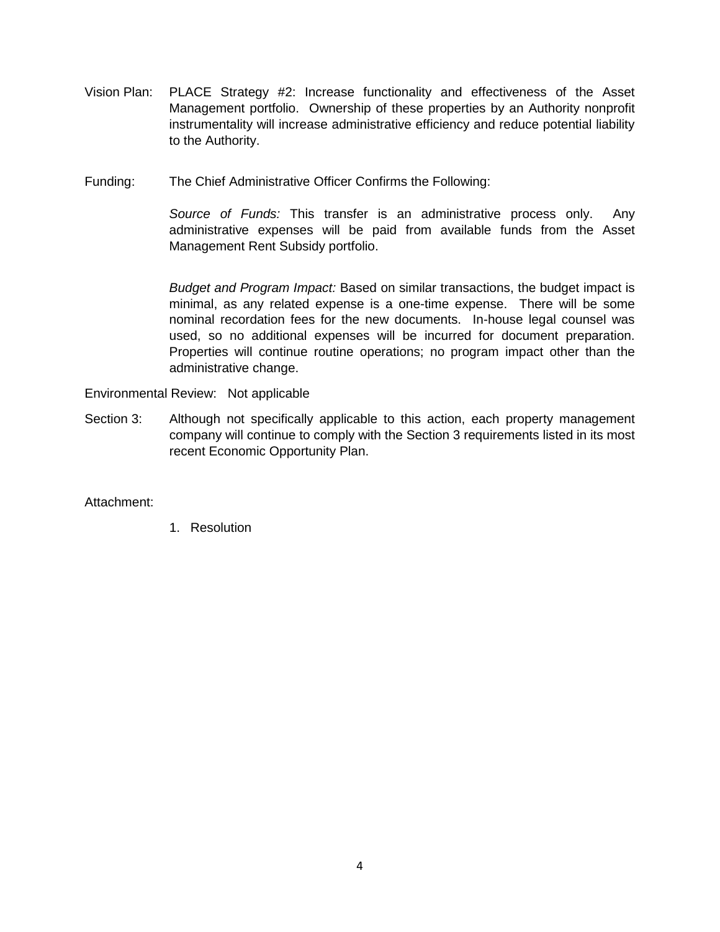- Vision Plan: PLACE Strategy #2: Increase functionality and effectiveness of the Asset Management portfolio. Ownership of these properties by an Authority nonprofit instrumentality will increase administrative efficiency and reduce potential liability to the Authority.
- Funding: The Chief Administrative Officer Confirms the Following:

*Source of Funds:* This transfer is an administrative process only. Any administrative expenses will be paid from available funds from the Asset Management Rent Subsidy portfolio.

*Budget and Program Impact:* Based on similar transactions, the budget impact is minimal, as any related expense is a one-time expense. There will be some nominal recordation fees for the new documents. In-house legal counsel was used, so no additional expenses will be incurred for document preparation. Properties will continue routine operations; no program impact other than the administrative change.

Environmental Review: Not applicable

Section 3: Although not specifically applicable to this action, each property management company will continue to comply with the Section 3 requirements listed in its most recent Economic Opportunity Plan.

### Attachment:

1. Resolution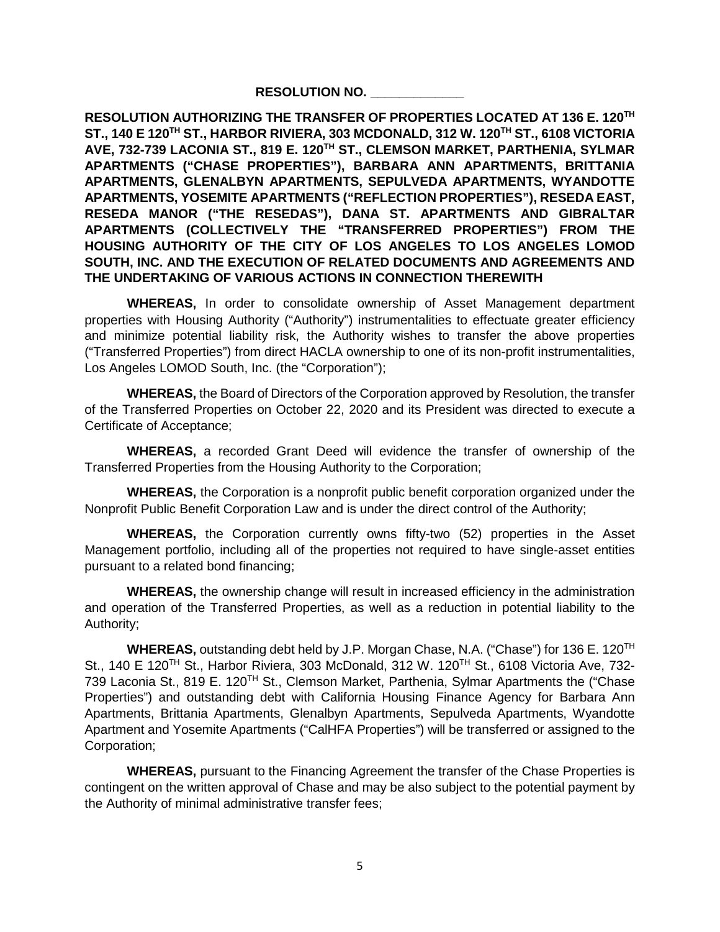#### **RESOLUTION NO. \_\_\_\_\_\_\_\_\_\_\_\_\_**

**RESOLUTION AUTHORIZING THE TRANSFER OF PROPERTIES LOCATED AT 136 E. 120TH ST., 140 E 120TH ST., HARBOR RIVIERA, 303 MCDONALD, 312 W. 120TH ST., 6108 VICTORIA AVE, 732-739 LACONIA ST., 819 E. 120TH ST., CLEMSON MARKET, PARTHENIA, SYLMAR APARTMENTS ("CHASE PROPERTIES"), BARBARA ANN APARTMENTS, BRITTANIA APARTMENTS, GLENALBYN APARTMENTS, SEPULVEDA APARTMENTS, WYANDOTTE APARTMENTS, YOSEMITE APARTMENTS ("REFLECTION PROPERTIES"), RESEDA EAST, RESEDA MANOR ("THE RESEDAS"), DANA ST. APARTMENTS AND GIBRALTAR APARTMENTS (COLLECTIVELY THE "TRANSFERRED PROPERTIES") FROM THE HOUSING AUTHORITY OF THE CITY OF LOS ANGELES TO LOS ANGELES LOMOD SOUTH, INC. AND THE EXECUTION OF RELATED DOCUMENTS AND AGREEMENTS AND THE UNDERTAKING OF VARIOUS ACTIONS IN CONNECTION THEREWITH**

**WHEREAS,** In order to consolidate ownership of Asset Management department properties with Housing Authority ("Authority") instrumentalities to effectuate greater efficiency and minimize potential liability risk, the Authority wishes to transfer the above properties ("Transferred Properties") from direct HACLA ownership to one of its non-profit instrumentalities, Los Angeles LOMOD South, Inc. (the "Corporation");

**WHEREAS,** the Board of Directors of the Corporation approved by Resolution, the transfer of the Transferred Properties on October 22, 2020 and its President was directed to execute a Certificate of Acceptance;

**WHEREAS,** a recorded Grant Deed will evidence the transfer of ownership of the Transferred Properties from the Housing Authority to the Corporation;

**WHEREAS,** the Corporation is a nonprofit public benefit corporation organized under the Nonprofit Public Benefit Corporation Law and is under the direct control of the Authority;

**WHEREAS,** the Corporation currently owns fifty-two (52) properties in the Asset Management portfolio, including all of the properties not required to have single-asset entities pursuant to a related bond financing;

**WHEREAS,** the ownership change will result in increased efficiency in the administration and operation of the Transferred Properties, as well as a reduction in potential liability to the Authority;

**WHEREAS,** outstanding debt held by J.P. Morgan Chase, N.A. ("Chase") for 136 E. 120TH St., 140 E 120<sup>TH</sup> St., Harbor Riviera, 303 McDonald, 312 W. 120<sup>TH</sup> St., 6108 Victoria Ave, 732-739 Laconia St., 819 E. 120TH St., Clemson Market, Parthenia, Sylmar Apartments the ("Chase Properties") and outstanding debt with California Housing Finance Agency for Barbara Ann Apartments, Brittania Apartments, Glenalbyn Apartments, Sepulveda Apartments, Wyandotte Apartment and Yosemite Apartments ("CalHFA Properties") will be transferred or assigned to the Corporation;

**WHEREAS,** pursuant to the Financing Agreement the transfer of the Chase Properties is contingent on the written approval of Chase and may be also subject to the potential payment by the Authority of minimal administrative transfer fees;